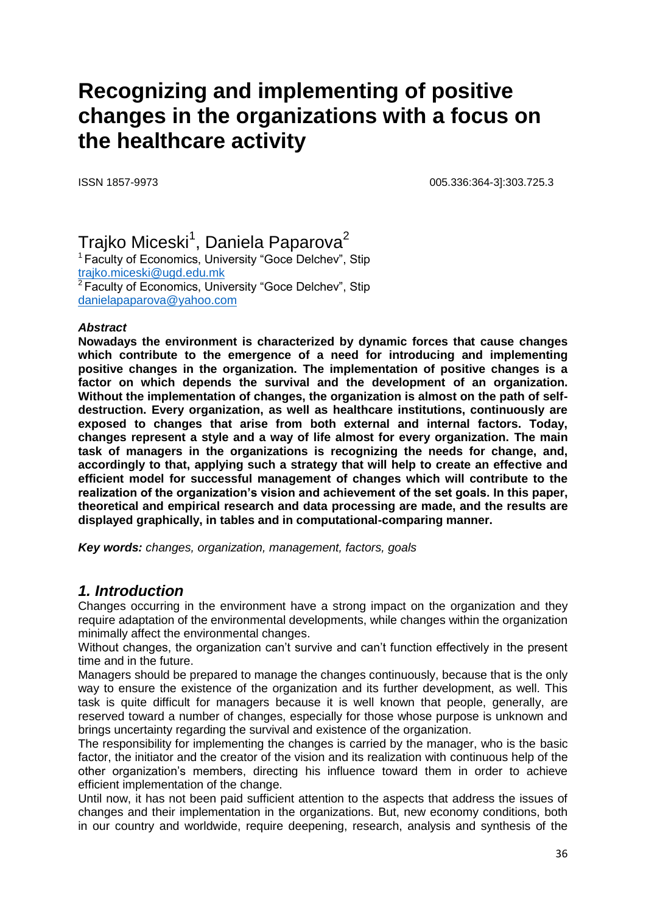# **Recognizing and implementing of positive changes in the organizations with a focus on the healthcare activity**

ISSN 1857-9973 005.336:364-3]:303.725.3

Trajko Miceski $^{\rm 1}$ , Daniela Paparova $^{\rm 2}$ <sup>1</sup> Faculty of Economics, University "Goce Delchev", Stip [trajko.miceski@ugd.edu.mk](mailto:trajko.miceski@ugd.edu.mk) <sup>2</sup>Faculty of Economics, University "Goce Delchev", Stip [danielapaparova@yahoo.com](mailto:danielapaparova@yahoo.com)

#### *Abstract*

**Nowadays the environment is characterized by dynamic forces that cause changes which contribute to the emergence of a need for introducing and implementing positive changes in the organization. The implementation of positive changes is a factor on which depends the survival and the development of an organization. Without the implementation of changes, the organization is almost on the path of selfdestruction. Every organization, as well as healthcare institutions, continuously are exposed to changes that arise from both external and internal factors. Today, changes represent a style and a way of life almost for every organization. The main task of managers in the organizations is recognizing the needs for change, and, accordingly to that, applying such a strategy that will help to create an effective and efficient model for successful management of changes which will contribute to the realization of the organization's vision and achievement of the set goals. In this paper, theoretical and empirical research and data processing are made, and the results are displayed graphically, in tables and in computational-comparing manner.**

*Key words: changes, organization, management, factors, goals*

## *1. Introduction*

Changes occurring in the environment have a strong impact on the organization and they require adaptation of the environmental developments, while changes within the organization minimally affect the environmental changes.

Without changes, the organization can't survive and can't function effectively in the present time and in the future.

Managers should be prepared to manage the changes continuously, because that is the only way to ensure the existence of the organization and its further development, as well. This task is quite difficult for managers because it is well known that people, generally, are reserved toward a number of changes, especially for those whose purpose is unknown and brings uncertainty regarding the survival and existence of the organization.

The responsibility for implementing the changes is carried by the manager, who is the basic factor, the initiator and the creator of the vision and its realization with continuous help of the other organization's members, directing his influence toward them in order to achieve efficient implementation of the change.

Until now, it has not been paid sufficient attention to the aspects that address the issues of changes and their implementation in the organizations. But, new economy conditions, both in our country and worldwide, require deepening, research, analysis and synthesis of the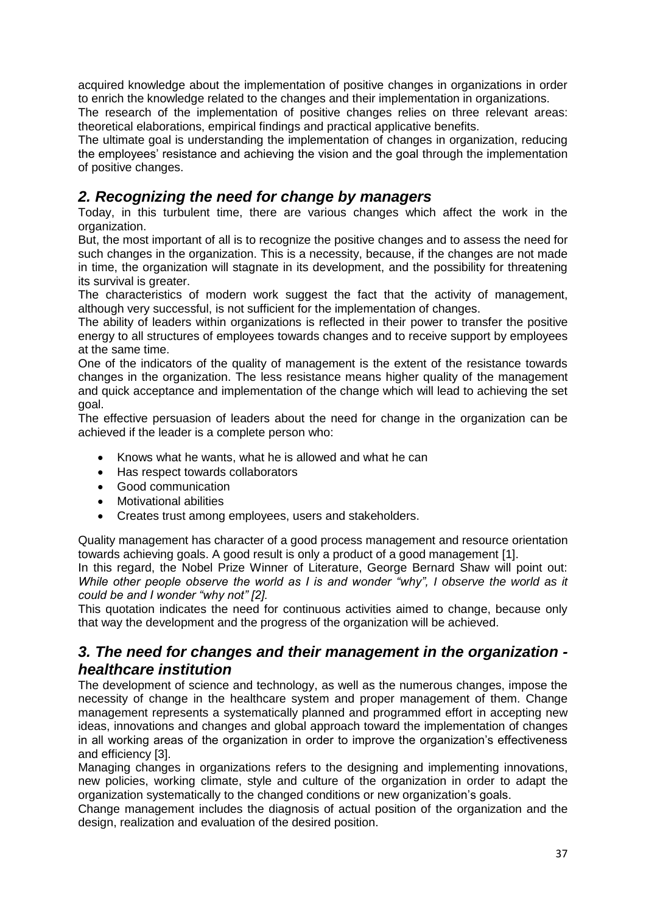acquired knowledge about the implementation of positive changes in organizations in order to enrich the knowledge related to the changes and their implementation in organizations.

The research of the implementation of positive changes relies on three relevant areas: theoretical elaborations, empirical findings and practical applicative benefits.

The ultimate goal is understanding the implementation of changes in organization, reducing the employees' resistance and achieving the vision and the goal through the implementation of positive changes.

## *2. Recognizing the need for change by managers*

Today, in this turbulent time, there are various changes which affect the work in the organization.

But, the most important of all is to recognize the positive changes and to assess the need for such changes in the organization. This is a necessity, because, if the changes are not made in time, the organization will stagnate in its development, and the possibility for threatening its survival is greater.

The characteristics of modern work suggest the fact that the activity of management, although very successful, is not sufficient for the implementation of changes.

The ability of leaders within organizations is reflected in their power to transfer the positive energy to all structures of employees towards changes and to receive support by employees at the same time.

One of the indicators of the quality of management is the extent of the resistance towards changes in the organization. The less resistance means higher quality of the management and quick acceptance and implementation of the change which will lead to achieving the set goal.

The effective persuasion of leaders about the need for change in the organization can be achieved if the leader is a complete person who:

- Knows what he wants, what he is allowed and what he can
- Has respect towards collaborators
- Good communication
- Motivational abilities
- Creates trust among employees, users and stakeholders.

Quality management has character of a good process management and resource orientation towards achieving goals. A good result is only a product of a good management [1].

In this regard, the Nobel Prize Winner of Literature, George Bernard Shaw will point out: *While other people observe the world as I is and wonder "why", I observe the world as it could be and I wonder "why not" [2].*

This quotation indicates the need for continuous activities aimed to change, because only that way the development and the progress of the organization will be achieved.

## *3. The need for changes and their management in the organization healthcare institution*

The development of science and technology, as well as the numerous changes, impose the necessity of change in the healthcare system and proper management of them. Change management represents a systematically planned and programmed effort in accepting new ideas, innovations and changes and global approach toward the implementation of changes in all working areas of the organization in order to improve the organization's effectiveness and efficiency [3].

Managing changes in organizations refers to the designing and implementing innovations, new policies, working climate, style and culture of the organization in order to adapt the organization systematically to the changed conditions or new organization's goals.

Change management includes the diagnosis of actual position of the organization and the design, realization and evaluation of the desired position.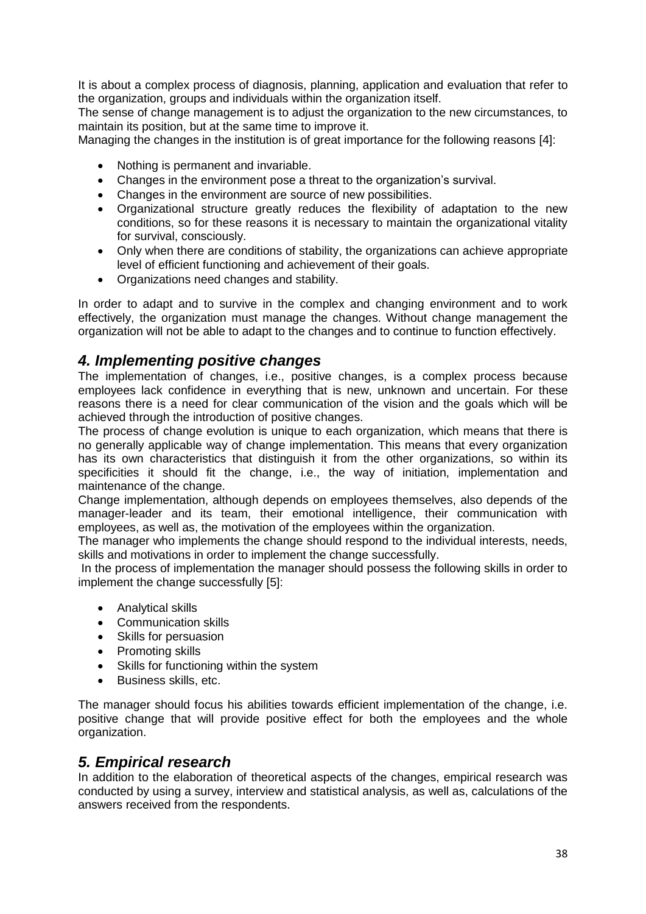It is about a complex process of diagnosis, planning, application and evaluation that refer to the organization, groups and individuals within the organization itself.

The sense of change management is to adjust the organization to the new circumstances, to maintain its position, but at the same time to improve it.

Managing the changes in the institution is of great importance for the following reasons [4]:

- Nothing is permanent and invariable.
- Changes in the environment pose a threat to the organization's survival.
- Changes in the environment are source of new possibilities.
- Organizational structure greatly reduces the flexibility of adaptation to the new conditions, so for these reasons it is necessary to maintain the organizational vitality for survival, consciously.
- Only when there are conditions of stability, the organizations can achieve appropriate level of efficient functioning and achievement of their goals.
- Organizations need changes and stability.

In order to adapt and to survive in the complex and changing environment and to work effectively, the organization must manage the changes. Without change management the organization will not be able to adapt to the changes and to continue to function effectively.

## *4. Implementing positive changes*

The implementation of changes, i.e., positive changes, is a complex process because employees lack confidence in everything that is new, unknown and uncertain. For these reasons there is a need for clear communication of the vision and the goals which will be achieved through the introduction of positive changes.

The process of change evolution is unique to each organization, which means that there is no generally applicable way of change implementation. This means that every organization has its own characteristics that distinguish it from the other organizations, so within its specificities it should fit the change, i.e., the way of initiation, implementation and maintenance of the change.

Change implementation, although depends on employees themselves, also depends of the manager-leader and its team, their emotional intelligence, their communication with employees, as well as, the motivation of the employees within the organization.

The manager who implements the change should respond to the individual interests, needs, skills and motivations in order to implement the change successfully.

In the process of implementation the manager should possess the following skills in order to implement the change successfully [5]:

- Analytical skills
- Communication skills
- Skills for persuasion
- Promoting skills
- Skills for functioning within the system
- **•** Business skills, etc.

The manager should focus his abilities towards efficient implementation of the change, i.e. positive change that will provide positive effect for both the employees and the whole organization.

#### *5. Empirical research*

In addition to the elaboration of theoretical aspects of the changes, empirical research was conducted by using a survey, interview and statistical analysis, as well as, calculations of the answers received from the respondents.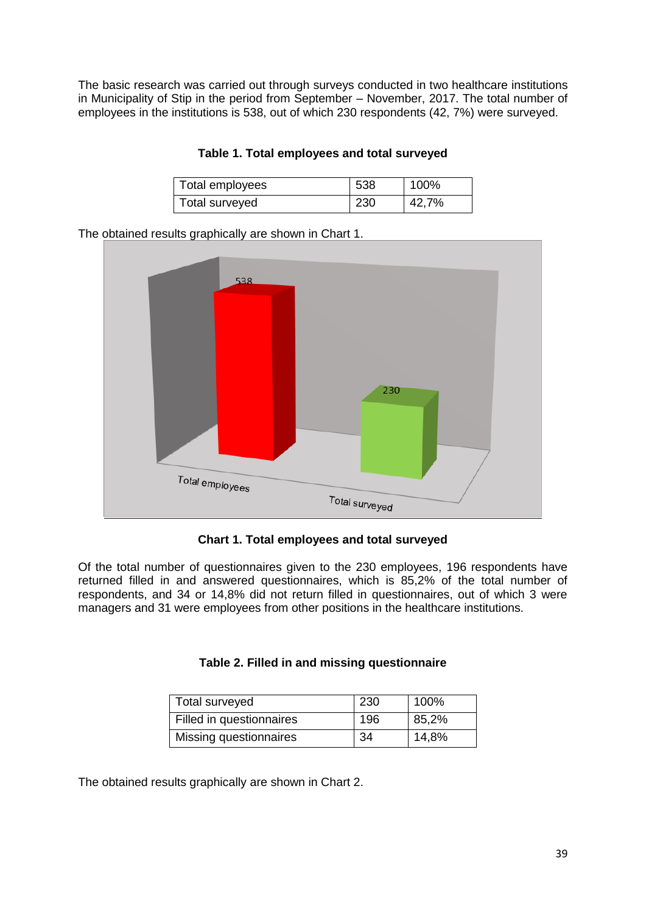The basic research was carried out through surveys conducted in two healthcare institutions in Municipality of Stip in the period from September – November, 2017. The total number of employees in the institutions is 538, out of which 230 respondents (42, 7%) were surveyed.

| Total employees | 538 | 100%  |
|-----------------|-----|-------|
| Total surveyed  | 230 | 42,7% |

**Table 1. Total employees and total surveyed**

The obtained results graphically are shown in Chart 1.



**Chart 1. Total employees and total surveyed**

Of the total number of questionnaires given to the 230 employees, 196 respondents have returned filled in and answered questionnaires, which is 85,2% of the total number of respondents, and 34 or 14,8% did not return filled in questionnaires, out of which 3 were managers and 31 were employees from other positions in the healthcare institutions.

| Total surveyed           | 230 | 100%  |
|--------------------------|-----|-------|
| Filled in questionnaires | 196 | 85,2% |
| Missing questionnaires   | 34  | 14,8% |

|  |  | Table 2. Filled in and missing questionnaire |
|--|--|----------------------------------------------|
|  |  |                                              |

The obtained results graphically are shown in Chart 2.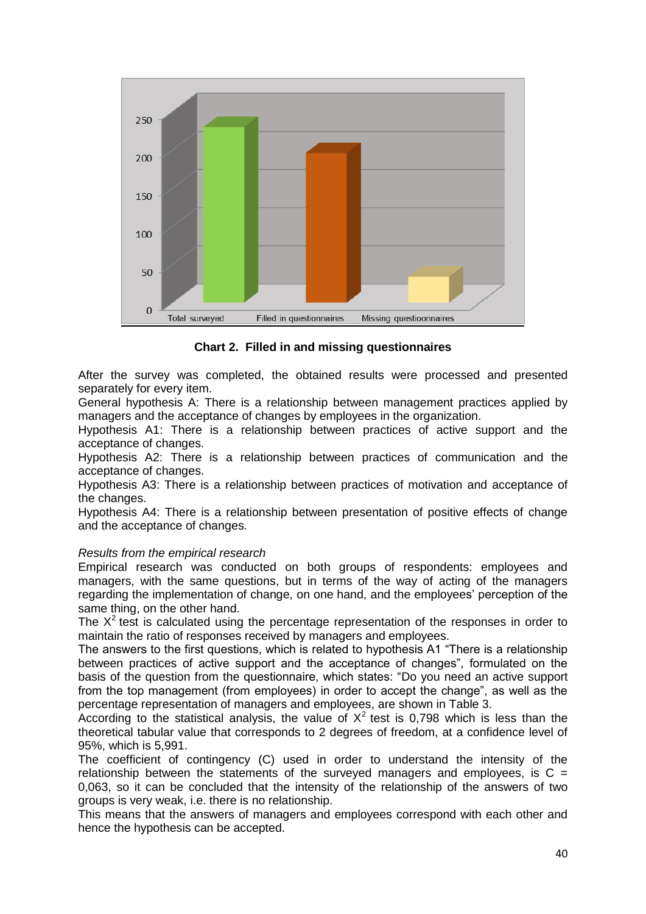

**Chart 2. Filled in and missing questionnaires**

After the survey was completed, the obtained results were processed and presented separately for every item.

General hypothesis A: There is a relationship between management practices applied by managers and the acceptance of changes by employees in the organization.

Hypothesis A1: There is a relationship between practices of active support and the acceptance of changes.

Hypothesis A2: There is a relationship between practices of communication and the acceptance of changes.

Hypothesis A3: There is a relationship between practices of motivation and acceptance of the changes.

Hypothesis A4: There is a relationship between presentation of positive effects of change and the acceptance of changes.

#### *Results from the empirical research*

Empirical research was conducted on both groups of respondents: employees and managers, with the same questions, but in terms of the way of acting of the managers regarding the implementation of change, on one hand, and the employees' perception of the same thing, on the other hand.

The  $X<sup>2</sup>$  test is calculated using the percentage representation of the responses in order to maintain the ratio of responses received by managers and employees.

The answers to the first questions, which is related to hypothesis A1 "There is a relationship between practices of active support and the acceptance of changes", formulated on the basis of the question from the questionnaire, which states: "Do you need an active support from the top management (from employees) in order to accept the change", as well as the percentage representation of managers and employees, are shown in Table 3.

According to the statistical analysis, the value of  $X^2$  test is 0,798 which is less than the theoretical tabular value that corresponds to 2 degrees of freedom, at a confidence level of 95%, which is 5,991.

The coefficient of contingency (C) used in order to understand the intensity of the relationship between the statements of the surveyed managers and employees, is  $C =$ 0,063, so it can be concluded that the intensity of the relationship of the answers of two groups is very weak, i.e. there is no relationship.

This means that the answers of managers and employees correspond with each other and hence the hypothesis can be accepted.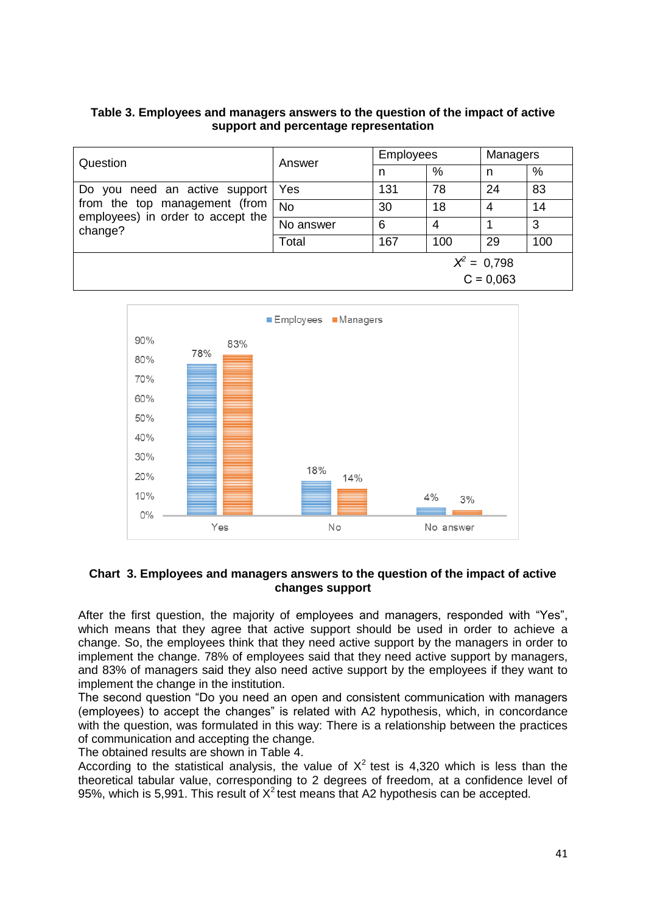#### **Table 3. Employees and managers answers to the question of the impact of active support and percentage representation**

| Question                                                                                                       | Answer    | <b>Employees</b> |     | Managers |     |
|----------------------------------------------------------------------------------------------------------------|-----------|------------------|-----|----------|-----|
|                                                                                                                |           | n                | %   | n        | %   |
| Do you need an active support<br>from the top management (from<br>employees) in order to accept the<br>change? | Yes       | 131              | 78  | 24       | 83  |
|                                                                                                                | <b>No</b> | 30               | 18  | 4        | 14  |
|                                                                                                                | No answer | 6                | 4   |          | 3   |
|                                                                                                                | Total     | 167              | 100 | 29       | 100 |
| $X^2 = 0.798$                                                                                                  |           |                  |     |          |     |
| $C = 0.063$                                                                                                    |           |                  |     |          |     |



#### **Chart 3. Employees and managers answers to the question of the impact of active changes support**

After the first question, the majority of employees and managers, responded with "Yes", which means that they agree that active support should be used in order to achieve a change. So, the employees think that they need active support by the managers in order to implement the change. 78% of employees said that they need active support by managers, and 83% of managers said they also need active support by the employees if they want to implement the change in the institution.

The second question "Do you need an open and consistent communication with managers (employees) to accept the changes" is related with A2 hypothesis, which, in concordance with the question, was formulated in this way: There is a relationship between the practices of communication and accepting the change.

The obtained results are shown in Table 4.

According to the statistical analysis, the value of  $X^2$  test is 4,320 which is less than the theoretical tabular value, corresponding to 2 degrees of freedom, at a confidence level of 95%, which is 5,991. This result of  $X^2$  test means that A2 hypothesis can be accepted.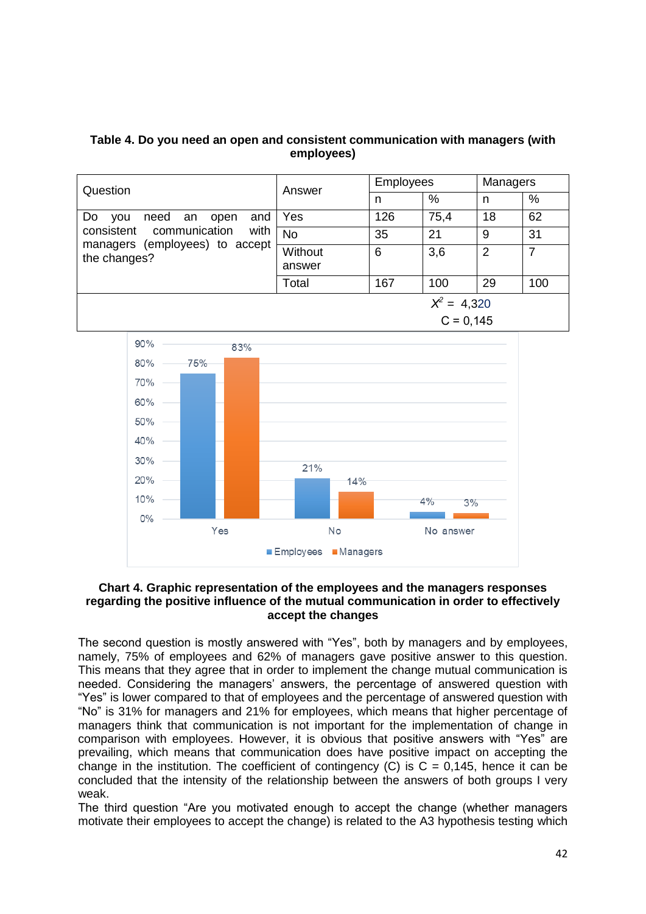| Table 4. Do you need an open and consistent communication with managers (with |  |
|-------------------------------------------------------------------------------|--|
| employees)                                                                    |  |

| Question                                                                                                                         | Answer    | <b>Employees</b> |               | Managers |     |
|----------------------------------------------------------------------------------------------------------------------------------|-----------|------------------|---------------|----------|-----|
|                                                                                                                                  |           | n                | $\frac{0}{0}$ | n        | %   |
| Do<br>and<br>need an<br>open<br><b>VOU</b><br>consistent communication<br>with<br>managers (employees) to accept<br>the changes? | Yes       | 126              | 75,4          | 18       | 62  |
|                                                                                                                                  | <b>No</b> | 35               | 21            | 9        | 31  |
|                                                                                                                                  | Without   | 6                | 3,6           | 2        |     |
|                                                                                                                                  | answer    |                  |               |          |     |
|                                                                                                                                  | Total     | 167              | 100           | 29       | 100 |
|                                                                                                                                  |           |                  | $X^2 = 4,320$ |          |     |
|                                                                                                                                  |           |                  | $C = 0.145$   |          |     |



#### **Chart 4. Graphic representation of the employees and the managers responses regarding the positive influence of the mutual communication in order to effectively accept the changes**

The second question is mostly answered with "Yes", both by managers and by employees, namely, 75% of employees and 62% of managers gave positive answer to this question. This means that they agree that in order to implement the change mutual communication is needed. Considering the managers' answers, the percentage of answered question with "Yes" is lower compared to that of employees and the percentage of answered question with "No" is 31% for managers and 21% for employees, which means that higher percentage of managers think that communication is not important for the implementation of change in comparison with employees. However, it is obvious that positive answers with "Yes" are prevailing, which means that communication does have positive impact on accepting the change in the institution. The coefficient of contingency  $(C)$  is  $C = 0.145$ , hence it can be concluded that the intensity of the relationship between the answers of both groups I very weak.

The third question "Are you motivated enough to accept the change (whether managers motivate their employees to accept the change) is related to the A3 hypothesis testing which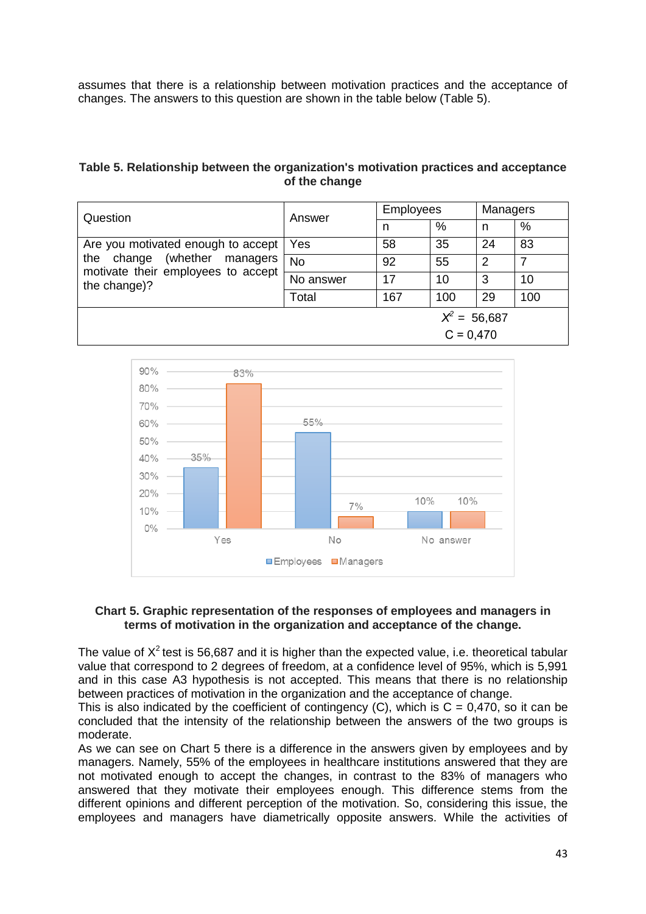assumes that there is a relationship between motivation practices and the acceptance of changes. The answers to this question are shown in the table below (Table 5).

#### **Table 5. Relationship between the organization's motivation practices and acceptance of the change**

| Question                                                                                                                       | Answer    | <b>Employees</b> |             | Managers |     |
|--------------------------------------------------------------------------------------------------------------------------------|-----------|------------------|-------------|----------|-----|
|                                                                                                                                |           | n                | $\%$        | n        | %   |
| Are you motivated enough to accept<br>(whether managers<br>change<br>the<br>motivate their employees to accept<br>the change)? | Yes       | 58               | 35          | 24       | 83  |
|                                                                                                                                | <b>No</b> | 92               | 55          | 2        |     |
|                                                                                                                                | No answer | 17               | 10          | 3        | 10  |
|                                                                                                                                | Total     | 167              | 100         | 29       | 100 |
| $X^2 = 56,687$                                                                                                                 |           |                  |             |          |     |
|                                                                                                                                |           |                  | $C = 0.470$ |          |     |



#### **Chart 5. Graphic representation of the responses of employees and managers in terms of motivation in the organization and acceptance of the change.**

The value of  $X^2$  test is 56,687 and it is higher than the expected value, i.e. theoretical tabular value that correspond to 2 degrees of freedom, at a confidence level of 95%, which is 5,991 and in this case A3 hypothesis is not accepted. This means that there is no relationship between practices of motivation in the organization and the acceptance of change.

This is also indicated by the coefficient of contingency (C), which is  $C = 0.470$ , so it can be concluded that the intensity of the relationship between the answers of the two groups is moderate.

As we can see on Chart 5 there is a difference in the answers given by employees and by managers. Namely, 55% of the employees in healthcare institutions answered that they are not motivated enough to accept the changes, in contrast to the 83% of managers who answered that they motivate their employees enough. This difference stems from the different opinions and different perception of the motivation. So, considering this issue, the employees and managers have diametrically opposite answers. While the activities of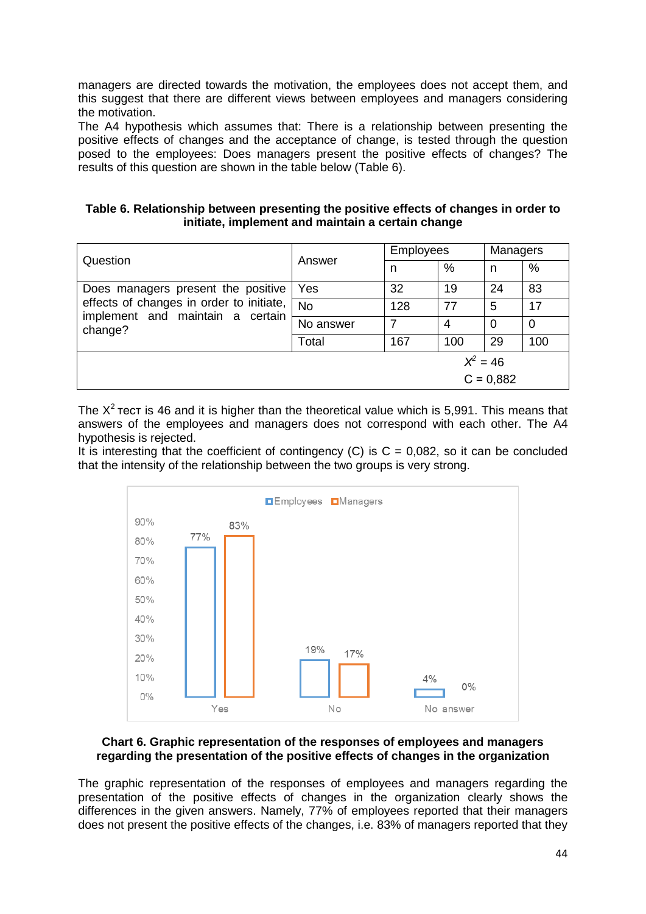managers are directed towards the motivation, the employees does not accept them, and this suggest that there are different views between employees and managers considering the motivation.

The A4 hypothesis which assumes that: There is a relationship between presenting the positive effects of changes and the acceptance of change, is tested through the question posed to the employees: Does managers present the positive effects of changes? The results of this question are shown in the table below (Table 6).

| Table 6. Relationship between presenting the positive effects of changes in order to |
|--------------------------------------------------------------------------------------|
| initiate, implement and maintain a certain change                                    |

| Question                                                                                                                      | Answer    | <b>Employees</b> |      | Managers |      |
|-------------------------------------------------------------------------------------------------------------------------------|-----------|------------------|------|----------|------|
|                                                                                                                               |           | n                | $\%$ | n        | $\%$ |
| Does managers present the positive<br>effects of changes in order to initiate,<br>implement and maintain a certain<br>change? | Yes       | 32               | 19   | 24       | 83   |
|                                                                                                                               | <b>No</b> | 128              | 77   | 5        | 17   |
|                                                                                                                               | No answer |                  | 4    | 0        | 0    |
|                                                                                                                               | Total     | 167              | 100  | 29       | 100  |
| $X^2 = 46$                                                                                                                    |           |                  |      |          |      |
| $C = 0,882$                                                                                                                   |           |                  |      |          |      |

The  $X^2$  tect is 46 and it is higher than the theoretical value which is 5,991. This means that answers of the employees and managers does not correspond with each other. The A4 hypothesis is rejected.

It is interesting that the coefficient of contingency (C) is  $C = 0.082$ , so it can be concluded that the intensity of the relationship between the two groups is very strong.



#### **Chart 6. Graphic representation of the responses of employees and managers regarding the presentation of the positive effects of changes in the organization**

The graphic representation of the responses of employees and managers regarding the presentation of the positive effects of changes in the organization clearly shows the differences in the given answers. Namely, 77% of employees reported that their managers does not present the positive effects of the changes, i.e. 83% of managers reported that they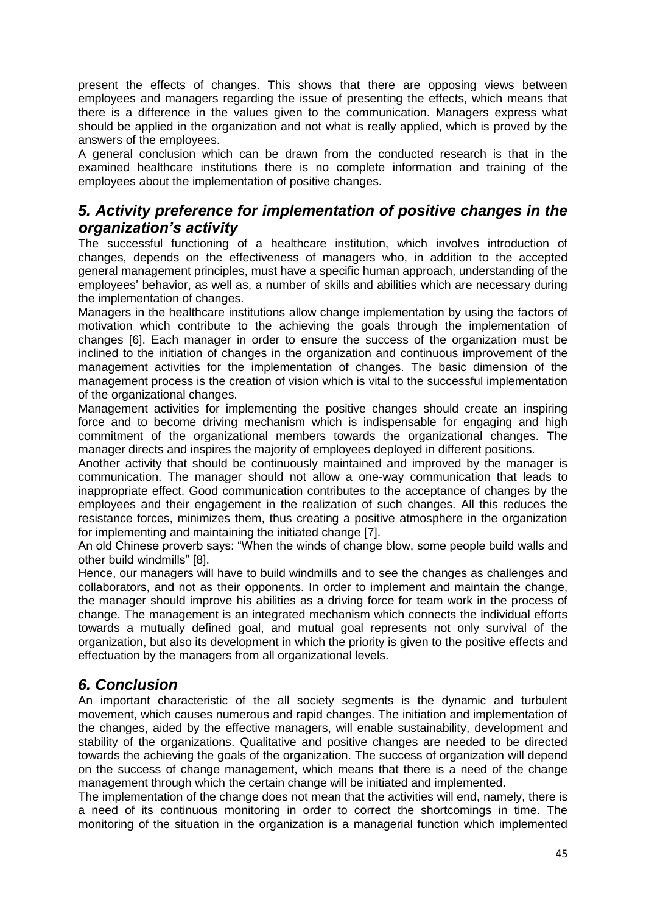present the effects of changes. This shows that there are opposing views between employees and managers regarding the issue of presenting the effects, which means that there is a difference in the values given to the communication. Managers express what should be applied in the organization and not what is really applied, which is proved by the answers of the employees.

A general conclusion which can be drawn from the conducted research is that in the examined healthcare institutions there is no complete information and training of the employees about the implementation of positive changes.

## *5. Activity preference for implementation of positive changes in the organization's activity*

The successful functioning of a healthcare institution, which involves introduction of changes, depends on the effectiveness of managers who, in addition to the accepted general management principles, must have a specific human approach, understanding of the employees' behavior, as well as, a number of skills and abilities which are necessary during the implementation of changes.

Managers in the healthcare institutions allow change implementation by using the factors of motivation which contribute to the achieving the goals through the implementation of changes [6]. Each manager in order to ensure the success of the organization must be inclined to the initiation of changes in the organization and continuous improvement of the management activities for the implementation of changes. The basic dimension of the management process is the creation of vision which is vital to the successful implementation of the organizational changes.

Management activities for implementing the positive changes should create an inspiring force and to become driving mechanism which is indispensable for engaging and high commitment of the organizational members towards the organizational changes. The manager directs and inspires the majority of employees deployed in different positions.

Another activity that should be continuously maintained and improved by the manager is communication. The manager should not allow a one-way communication that leads to inappropriate effect. Good communication contributes to the acceptance of changes by the employees and their engagement in the realization of such changes. All this reduces the resistance forces, minimizes them, thus creating a positive atmosphere in the organization for implementing and maintaining the initiated change [7].

An old Chinese proverb says: "When the winds of change blow, some people build walls and other build windmills" [8].

Hence, our managers will have to build windmills and to see the changes as challenges and collaborators, and not as their opponents. In order to implement and maintain the change, the manager should improve his abilities as a driving force for team work in the process of change. The management is an integrated mechanism which connects the individual efforts towards a mutually defined goal, and mutual goal represents not only survival of the organization, but also its development in which the priority is given to the positive effects and effectuation by the managers from all organizational levels.

## *6. Conclusion*

An important characteristic of the all society segments is the dynamic and turbulent movement, which causes numerous and rapid changes. The initiation and implementation of the changes, aided by the effective managers, will enable sustainability, development and stability of the organizations. Qualitative and positive changes are needed to be directed towards the achieving the goals of the organization. The success of organization will depend on the success of change management, which means that there is a need of the change management through which the certain change will be initiated and implemented.

The implementation of the change does not mean that the activities will end, namely, there is a need of its continuous monitoring in order to correct the shortcomings in time. The monitoring of the situation in the organization is a managerial function which implemented